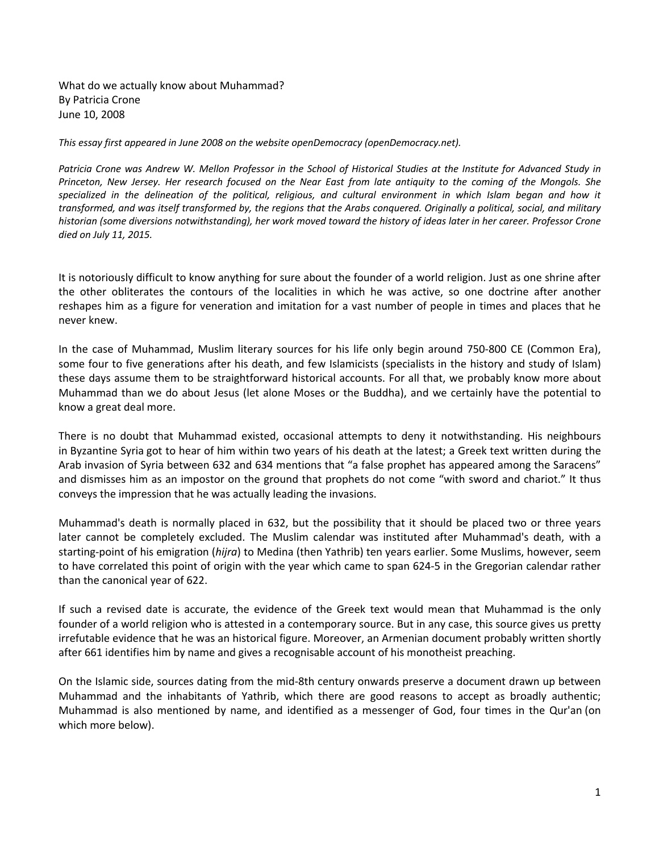What do we actually know about Muhammad? By Patricia Crone June 10, 2008

*This essay first appeared in June 2008 on the website openDemocracy (openDemocracy.net).*

*Patricia Crone was Andrew W. Mellon Professor in the School of Historical Studies at the Institute for Advanced Study in Princeton, New Jersey. Her research focused on the Near East from late antiquity to the coming of the Mongols. She specialized in the delineation of the political, religious, and cultural environment in which Islam began and how it transformed, and was itself transformed by, the regions that the Arabs conquered. Originally a political, social, and military historian (some diversions notwithstanding), her work moved toward the history of ideas later in her career. Professor Crone died on July 11, 2015.*

It is notoriously difficult to know anything for sure about the founder of a world religion. Just as one shrine after the other obliterates the contours of the localities in which he was active, so one doctrine after another reshapes him as a figure for veneration and imitation for a vast number of people in times and places that he never knew.

In the case of Muhammad, Muslim literary sources for his life only begin around 750-800 CE (Common Era), some four to five generations after his death, and few Islamicists (specialists in the history and study of Islam) these days assume them to be straightforward historical accounts. For all that, we probably know more about Muhammad than we do about Jesus (let alone Moses or the Buddha), and we certainly have the potential to know a great deal more.

There is no doubt that Muhammad existed, occasional attempts to deny it notwithstanding. His neighbours in Byzantine Syria got to hear of him within two years of his death at the latest; a Greek text written during the Arab invasion of Syria between 632 and 634 mentions that "a false prophet has appeared among the Saracens" and dismisses him as an impostor on the ground that prophets do not come "with sword and chariot." It thus conveys the impression that he was actually leading the invasions.

Muhammad's death is normally placed in 632, but the possibility that it should be placed two or three years later cannot be completely excluded. The Muslim calendar was instituted after Muhammad's death, with a starting-point of his emigration (*hijra*) to Medina (then Yathrib) ten years earlier. Some Muslims, however, seem to have correlated this point of origin with the year which came to span 624-5 in the Gregorian calendar rather than the canonical year of 622.

If such a revised date is accurate, the evidence of the Greek text would mean that Muhammad is the only founder of a world religion who is attested in a contemporary source. But in any case, this source gives us pretty irrefutable evidence that he was an historical figure. Moreover, an Armenian document probably written shortly after 661 identifies him by name and gives a recognisable account of his monotheist preaching.

On the Islamic side, sources dating from the mid-8th century onwards preserve a document drawn up between Muhammad and the inhabitants of Yathrib, which there are good reasons to accept as broadly authentic; Muhammad is also mentioned by name, and identified as a messenger of God, four times in the Qur'an (on which more below).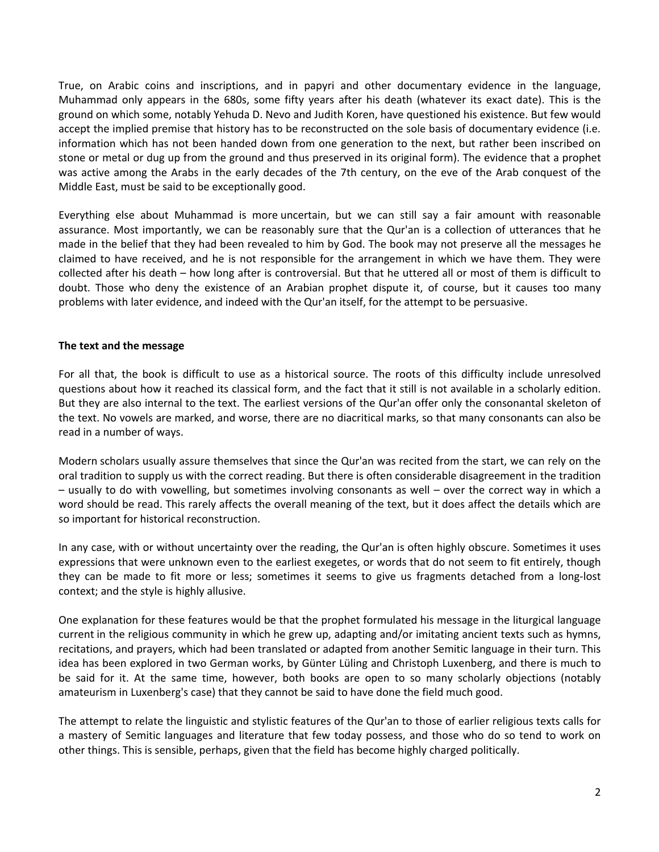True, on Arabic coins and inscriptions, and in papyri and other documentary evidence in the language, Muhammad only appears in the 680s, some fifty years after his death (whatever its exact date). This is the ground on which some, notably Yehuda D. Nevo and Judith Koren, have questioned his existence. But few would accept the implied premise that history has to be reconstructed on the sole basis of documentary evidence (i.e. information which has not been handed down from one generation to the next, but rather been inscribed on stone or metal or dug up from the ground and thus preserved in its original form). The evidence that a prophet was active among the Arabs in the early decades of the 7th century, on the eve of the Arab conquest of the Middle East, must be said to be exceptionally good.

Everything else about Muhammad is more uncertain, but we can still say a fair amount with reasonable assurance. Most importantly, we can be reasonably sure that the Qur'an is a collection of utterances that he made in the belief that they had been revealed to him by God. The book may not preserve all the messages he claimed to have received, and he is not responsible for the arrangement in which we have them. They were collected after his death – how long after is controversial. But that he uttered all or most of them is difficult to doubt. Those who deny the existence of an Arabian prophet dispute it, of course, but it causes too many problems with later evidence, and indeed with the Qur'an itself, for the attempt to be persuasive.

## **The text and the message**

For all that, the book is difficult to use as a historical source. The roots of this difficulty include unresolved questions about how it reached its classical form, and the fact that it still is not available in a scholarly edition. But they are also internal to the text. The earliest versions of the Qur'an offer only the consonantal skeleton of the text. No vowels are marked, and worse, there are no diacritical marks, so that many consonants can also be read in a number of ways.

Modern scholars usually assure themselves that since the Qur'an was recited from the start, we can rely on the oral tradition to supply us with the correct reading. But there is often considerable disagreement in the tradition – usually to do with vowelling, but sometimes involving consonants as well – over the correct way in which a word should be read. This rarely affects the overall meaning of the text, but it does affect the details which are so important for historical reconstruction.

In any case, with or without uncertainty over the reading, the Qur'an is often highly obscure. Sometimes it uses expressions that were unknown even to the earliest exegetes, or words that do not seem to fit entirely, though they can be made to fit more or less; sometimes it seems to give us fragments detached from a long-lost context; and the style is highly allusive.

One explanation for these features would be that the prophet formulated his message in the liturgical language current in the religious community in which he grew up, adapting and/or imitating ancient texts such as hymns, recitations, and prayers, which had been translated or adapted from another Semitic language in their turn. This idea has been explored in two German works, by Günter Lüling and Christoph Luxenberg, and there is much to be said for it. At the same time, however, both books are open to so many scholarly objections (notably amateurism in Luxenberg's case) that they cannot be said to have done the field much good.

The attempt to relate the linguistic and stylistic features of the Qur'an to those of earlier religious texts calls for a mastery of Semitic languages and literature that few today possess, and those who do so tend to work on other things. This is sensible, perhaps, given that the field has become highly charged politically.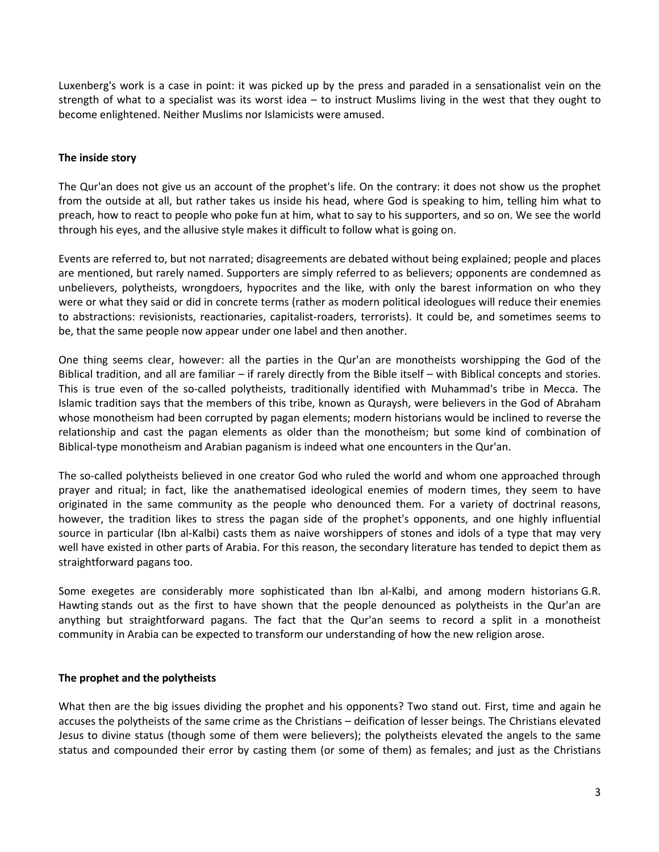Luxenberg's work is a case in point: it was picked up by the press and paraded in a sensationalist vein on the strength of what to a specialist was its worst idea – to instruct Muslims living in the west that they ought to become enlightened. Neither Muslims nor Islamicists were amused.

# **The inside story**

The Qur'an does not give us an account of the prophet's life. On the contrary: it does not show us the prophet from the outside at all, but rather takes us inside his head, where God is speaking to him, telling him what to preach, how to react to people who poke fun at him, what to say to his supporters, and so on. We see the world through his eyes, and the allusive style makes it difficult to follow what is going on.

Events are referred to, but not narrated; disagreements are debated without being explained; people and places are mentioned, but rarely named. Supporters are simply referred to as believers; opponents are condemned as unbelievers, polytheists, wrongdoers, hypocrites and the like, with only the barest information on who they were or what they said or did in concrete terms (rather as modern political ideologues will reduce their enemies to abstractions: revisionists, reactionaries, capitalist-roaders, terrorists). It could be, and sometimes seems to be, that the same people now appear under one label and then another.

One thing seems clear, however: all the parties in the Qur'an are monotheists worshipping the God of the Biblical tradition, and all are familiar – if rarely directly from the Bible itself – with Biblical concepts and stories. This is true even of the so-called polytheists, traditionally identified with Muhammad's tribe in Mecca. The Islamic tradition says that the members of this tribe, known as Quraysh, were believers in the God of Abraham whose monotheism had been corrupted by pagan elements; modern historians would be inclined to reverse the relationship and cast the pagan elements as older than the monotheism; but some kind of combination of Biblical-type monotheism and Arabian paganism is indeed what one encounters in the Qur'an.

The so-called polytheists believed in one creator God who ruled the world and whom one approached through prayer and ritual; in fact, like the anathematised ideological enemies of modern times, they seem to have originated in the same community as the people who denounced them. For a variety of doctrinal reasons, however, the tradition likes to stress the pagan side of the prophet's opponents, and one highly influential source in particular (Ibn al-Kalbi) casts them as naive worshippers of stones and idols of a type that may very well have existed in other parts of Arabia. For this reason, the secondary literature has tended to depict them as straightforward pagans too.

Some exegetes are considerably more sophisticated than Ibn al-Kalbi, and among modern historians G.R. Hawting stands out as the first to have shown that the people denounced as polytheists in the Qur'an are anything but straightforward pagans. The fact that the Qur'an seems to record a split in a monotheist community in Arabia can be expected to transform our understanding of how the new religion arose.

### **The prophet and the polytheists**

What then are the big issues dividing the prophet and his opponents? Two stand out. First, time and again he accuses the polytheists of the same crime as the Christians – deification of lesser beings. The Christians elevated Jesus to divine status (though some of them were believers); the polytheists elevated the angels to the same status and compounded their error by casting them (or some of them) as females; and just as the Christians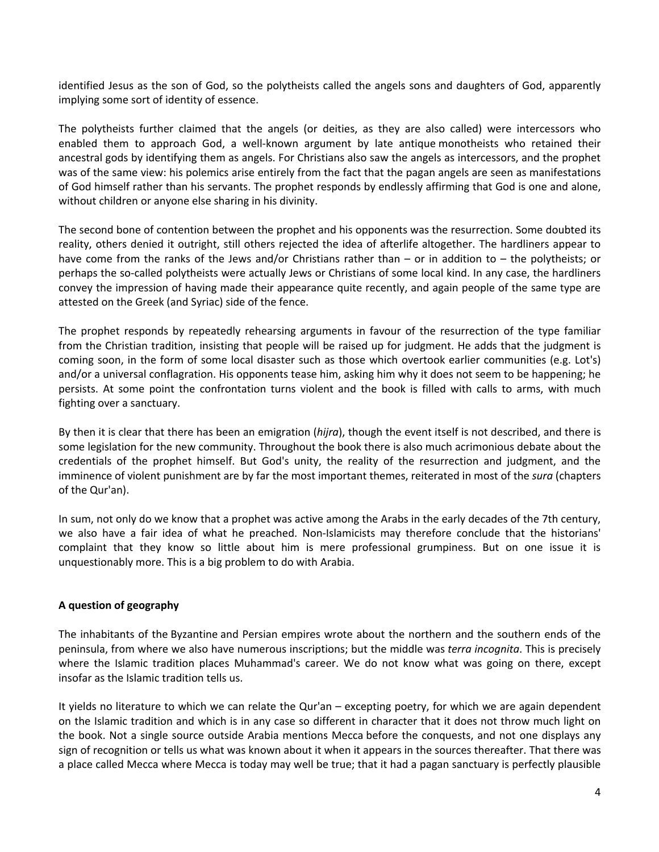identified Jesus as the son of God, so the polytheists called the angels sons and daughters of God, apparently implying some sort of identity of essence.

The polytheists further claimed that the angels (or deities, as they are also called) were intercessors who enabled them to approach God, a well-known argument by late antique monotheists who retained their ancestral gods by identifying them as angels. For Christians also saw the angels as intercessors, and the prophet was of the same view: his polemics arise entirely from the fact that the pagan angels are seen as manifestations of God himself rather than his servants. The prophet responds by endlessly affirming that God is one and alone, without children or anyone else sharing in his divinity.

The second bone of contention between the prophet and his opponents was the resurrection. Some doubted its reality, others denied it outright, still others rejected the idea of afterlife altogether. The hardliners appear to have come from the ranks of the Jews and/or Christians rather than – or in addition to – the polytheists; or perhaps the so-called polytheists were actually Jews or Christians of some local kind. In any case, the hardliners convey the impression of having made their appearance quite recently, and again people of the same type are attested on the Greek (and Syriac) side of the fence.

The prophet responds by repeatedly rehearsing arguments in favour of the resurrection of the type familiar from the Christian tradition, insisting that people will be raised up for judgment. He adds that the judgment is coming soon, in the form of some local disaster such as those which overtook earlier communities (e.g. Lot's) and/or a universal conflagration. His opponents tease him, asking him why it does not seem to be happening; he persists. At some point the confrontation turns violent and the book is filled with calls to arms, with much fighting over a sanctuary.

By then it is clear that there has been an emigration (*hijra*), though the event itself is not described, and there is some legislation for the new community. Throughout the book there is also much acrimonious debate about the credentials of the prophet himself. But God's unity, the reality of the resurrection and judgment, and the imminence of violent punishment are by far the most important themes, reiterated in most of the *sura* (chapters of the Qur'an).

In sum, not only do we know that a prophet was active among the Arabs in the early decades of the 7th century, we also have a fair idea of what he preached. Non-Islamicists may therefore conclude that the historians' complaint that they know so little about him is mere professional grumpiness. But on one issue it is unquestionably more. This is a big problem to do with Arabia.

# **A question of geography**

The inhabitants of the Byzantine and Persian empires wrote about the northern and the southern ends of the peninsula, from where we also have numerous inscriptions; but the middle was *terra incognita*. This is precisely where the Islamic tradition places Muhammad's career. We do not know what was going on there, except insofar as the Islamic tradition tells us.

It yields no literature to which we can relate the Qur'an – excepting poetry, for which we are again dependent on the Islamic tradition and which is in any case so different in character that it does not throw much light on the book. Not a single source outside Arabia mentions Mecca before the conquests, and not one displays any sign of recognition or tells us what was known about it when it appears in the sources thereafter. That there was a place called Mecca where Mecca is today may well be true; that it had a pagan sanctuary is perfectly plausible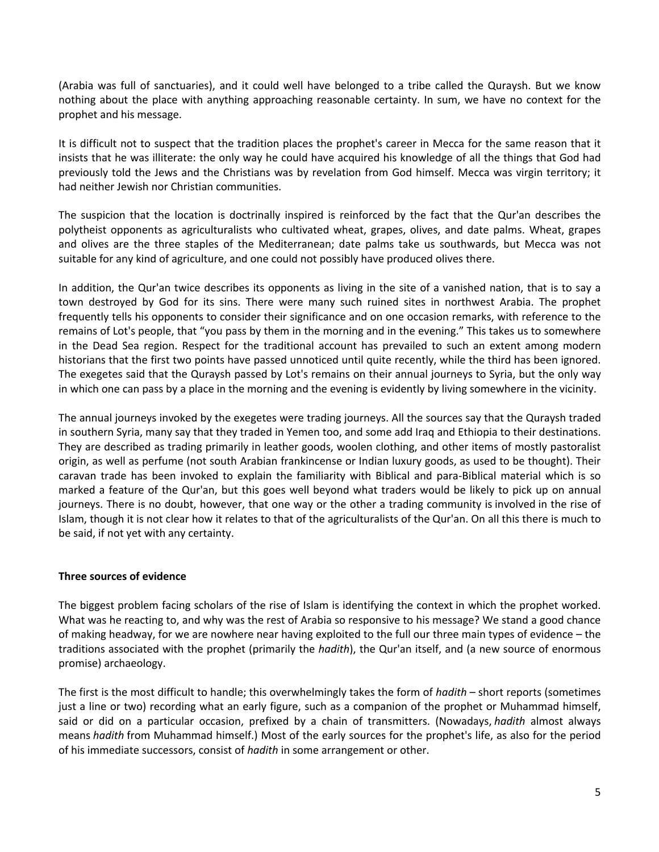(Arabia was full of sanctuaries), and it could well have belonged to a tribe called the Quraysh. But we know nothing about the place with anything approaching reasonable certainty. In sum, we have no context for the prophet and his message.

It is difficult not to suspect that the tradition places the prophet's career in Mecca for the same reason that it insists that he was illiterate: the only way he could have acquired his knowledge of all the things that God had previously told the Jews and the Christians was by revelation from God himself. Mecca was virgin territory; it had neither Jewish nor Christian communities.

The suspicion that the location is doctrinally inspired is reinforced by the fact that the Qur'an describes the polytheist opponents as agriculturalists who cultivated wheat, grapes, olives, and date palms. Wheat, grapes and olives are the three staples of the Mediterranean; date palms take us southwards, but Mecca was not suitable for any kind of agriculture, and one could not possibly have produced olives there.

In addition, the Qur'an twice describes its opponents as living in the site of a vanished nation, that is to say a town destroyed by God for its sins. There were many such ruined sites in northwest Arabia. The prophet frequently tells his opponents to consider their significance and on one occasion remarks, with reference to the remains of Lot's people, that "you pass by them in the morning and in the evening." This takes us to somewhere in the Dead Sea region. Respect for the traditional account has prevailed to such an extent among modern historians that the first two points have passed unnoticed until quite recently, while the third has been ignored. The exegetes said that the Quraysh passed by Lot's remains on their annual journeys to Syria, but the only way in which one can pass by a place in the morning and the evening is evidently by living somewhere in the vicinity.

The annual journeys invoked by the exegetes were trading journeys. All the sources say that the Quraysh traded in southern Syria, many say that they traded in Yemen too, and some add Iraq and Ethiopia to their destinations. They are described as trading primarily in leather goods, woolen clothing, and other items of mostly pastoralist origin, as well as perfume (not south Arabian frankincense or Indian luxury goods, as used to be thought). Their caravan trade has been invoked to explain the familiarity with Biblical and para-Biblical material which is so marked a feature of the Qur'an, but this goes well beyond what traders would be likely to pick up on annual journeys. There is no doubt, however, that one way or the other a trading community is involved in the rise of Islam, though it is not clear how it relates to that of the agriculturalists of the Qur'an. On all this there is much to be said, if not yet with any certainty.

# **Three sources of evidence**

The biggest problem facing scholars of the rise of Islam is identifying the context in which the prophet worked. What was he reacting to, and why was the rest of Arabia so responsive to his message? We stand a good chance of making headway, for we are nowhere near having exploited to the full our three main types of evidence – the traditions associated with the prophet (primarily the *hadith*), the Qur'an itself, and (a new source of enormous promise) archaeology.

The first is the most difficult to handle; this overwhelmingly takes the form of *hadith* – short reports (sometimes just a line or two) recording what an early figure, such as a companion of the prophet or Muhammad himself, said or did on a particular occasion, prefixed by a chain of transmitters. (Nowadays, *hadith* almost always means *hadith* from Muhammad himself.) Most of the early sources for the prophet's life, as also for the period of his immediate successors, consist of *hadith* in some arrangement or other.